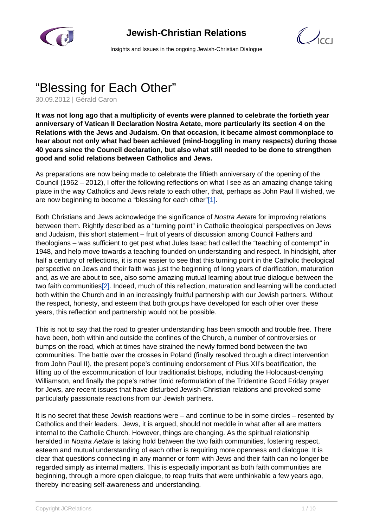

## **Jewish-Christian Relations**



Insights and Issues in the ongoing Jewish-Christian Dialogue

# "Blessing for Each Other"

30.09.2012 | Gérald Caron

**It was not long ago that a multiplicity of events were planned to celebrate the fortieth year anniversary of Vatican II Declaration Nostra Aetate, more particularly its section 4 on the Relations with the Jews and Judaism. On that occasion, it became almost commonplace to hear about not only what had been achieved (mind-boggling in many respects) during those 40 years since the Council declaration, but also what still needed to be done to strengthen good and solid relations between Catholics and Jews.**

As preparations are now being made to celebrate the fiftieth anniversary of the opening of the Council (1962 – 2012), I offer the following reflections on what I see as an amazing change taking place in the way Catholics and Jews relate to each other, that, perhaps as John Paul II wished, we are now beginning to become a "blessing for each other"[1].

Both Christians and Jews acknowledge the significance of Nostra Aetate for improving relations between them. Rightly described as a "turning point" in Catholic theological perspectives on Jews and Judaism, this short statement – fruit of years of discussion among Council Fathers and theologians – was sufficient to get past what Jules Isaac had called the "teaching of contempt" in 1948, and help move towards a teaching founded on understanding and respect. In hindsight, after half a century of reflections, it is now easier to see that this turning point in the Catholic theological perspective on Jews and their faith was just the beginning of long years of clarification, maturation and, as we are about to see, also some amazing mutual learning about true dialogue between the two faith communities[2]. Indeed, much of this reflection, maturation and learning will be conducted both within the Church and in an increasingly fruitful partnership with our Jewish partners. Without the respect, honesty, and esteem that both groups have developed for each other over these years, this reflection and partnership would not be possible.

This is not to say that the road to greater understanding has been smooth and trouble free. There have been, both within and outside the confines of the Church, a number of controversies or bumps on the road, which at times have strained the newly formed bond between the two communities. The battle over the crosses in Poland (finally resolved through a direct intervention from John Paul II), the present pope's continuing endorsement of Pius XII's beatification, the lifting up of the excommunication of four traditionalist bishops, including the Holocaust-denying Williamson, and finally the pope's rather timid reformulation of the Tridentine Good Friday prayer for Jews, are recent issues that have disturbed Jewish-Christian relations and provoked some particularly passionate reactions from our Jewish partners.

It is no secret that these Jewish reactions were – and continue to be in some circles – resented by Catholics and their leaders. Jews, it is argued, should not meddle in what after all are matters internal to the Catholic Church. However, things are changing. As the spiritual relationship heralded in Nostra Aetate is taking hold between the two faith communities, fostering respect, esteem and mutual understanding of each other is requiring more openness and dialogue. It is clear that questions connecting in any manner or form with Jews and their faith can no longer be regarded simply as internal matters. This is especially important as both faith communities are beginning, through a more open dialogue, to reap fruits that were unthinkable a few years ago, thereby increasing self-awareness and understanding.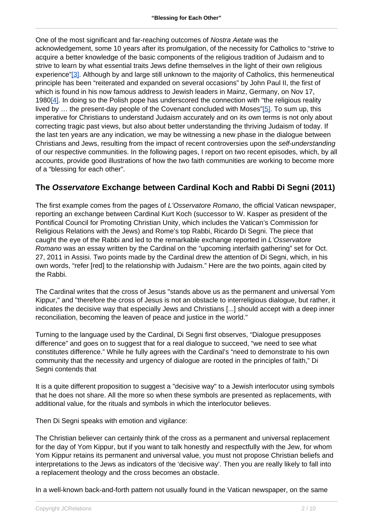One of the most significant and far-reaching outcomes of Nostra Aetate was the acknowledgement, some 10 years after its promulgation, of the necessity for Catholics to "strive to acquire a better knowledge of the basic components of the religious tradition of Judaism and to strive to learn by what essential traits Jews define themselves in the light of their own religious experience"[3]. Although by and large still unknown to the majority of Catholics, this hermeneutical principle has been "reiterated and expanded on several occasions" by John Paul II, the first of which is found in his now famous address to Jewish leaders in Mainz, Germany, on Nov 17, 1980[4]. In doing so the Polish pope has underscored the connection with "the religious reality lived by … the present-day people of the Covenant concluded with Moses"[5]. To sum up, this imperative for Christians to understand Judaism accurately and on its own terms is not only about correcting tragic past views, but also about better understanding the thriving Judaism of today. If the last ten years are any indication, we may be witnessing a new phase in the dialogue between Christians and Jews, resulting from the impact of recent controversies upon the self-understanding of our respective communities. In the following pages, I report on two recent episodes, which, by all accounts, provide good illustrations of how the two faith communities are working to become more of a "blessing for each other".

#### **The Osservatore Exchange between Cardinal Koch and Rabbi Di Segni (2011)**

The first example comes from the pages of L'Osservatore Romano, the official Vatican newspaper, reporting an exchange between Cardinal Kurt Koch (successor to W. Kasper as president of the Pontifical Council for Promoting Christian Unity, which includes the Vatican's Commission for Religious Relations with the Jews) and Rome's top Rabbi, Ricardo Di Segni. The piece that caught the eye of the Rabbi and led to the remarkable exchange reported in L'Osservatore Romano was an essay written by the Cardinal on the "upcoming interfaith gathering" set for Oct. 27, 2011 in Assisi. Two points made by the Cardinal drew the attention of Di Segni, which, in his own words, "refer [red] to the relationship with Judaism." Here are the two points, again cited by the Rabbi.

The Cardinal writes that the cross of Jesus "stands above us as the permanent and universal Yom Kippur," and "therefore the cross of Jesus is not an obstacle to interreligious dialogue, but rather, it indicates the decisive way that especially Jews and Christians [...] should accept with a deep inner reconciliation, becoming the leaven of peace and justice in the world."

Turning to the language used by the Cardinal, Di Segni first observes, "Dialogue presupposes difference" and goes on to suggest that for a real dialogue to succeed, "we need to see what constitutes difference." While he fully agrees with the Cardinal's "need to demonstrate to his own community that the necessity and urgency of dialogue are rooted in the principles of faith," Di Segni contends that

It is a quite different proposition to suggest a "decisive way" to a Jewish interlocutor using symbols that he does not share. All the more so when these symbols are presented as replacements, with additional value, for the rituals and symbols in which the interlocutor believes.

Then Di Segni speaks with emotion and vigilance:

The Christian believer can certainly think of the cross as a permanent and universal replacement for the day of Yom Kippur, but if you want to talk honestly and respectfully with the Jew, for whom Yom Kippur retains its permanent and universal value, you must not propose Christian beliefs and interpretations to the Jews as indicators of the 'decisive way'. Then you are really likely to fall into a replacement theology and the cross becomes an obstacle.

In a well-known back-and-forth pattern not usually found in the Vatican newspaper, on the same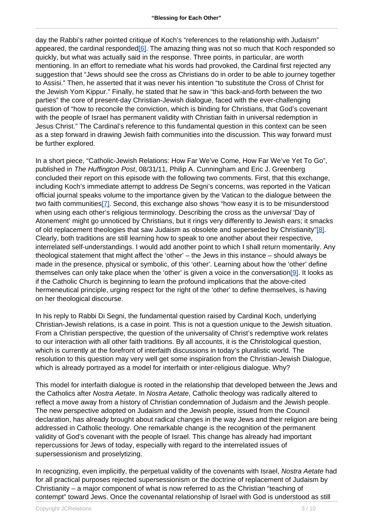day the Rabbi's rather pointed critique of Koch's "references to the relationship with Judaism" appeared, the cardinal responded[6]. The amazing thing was not so much that Koch responded so quickly, but what was actually said in the response. Three points, in particular, are worth mentioning. In an effort to remediate what his words had provoked, the Cardinal first rejected any suggestion that "Jews should see the cross as Christians do in order to be able to journey together to Assisi." Then, he asserted that it was never his intention "to substitute the Cross of Christ for the Jewish Yom Kippur." Finally, he stated that he saw in "this back-and-forth between the two parties" the core of present-day Christian-Jewish dialogue, faced with the ever-challenging question of "how to reconcile the conviction, which is binding for Christians, that God's covenant with the people of Israel has permanent validity with Christian faith in universal redemption in Jesus Christ." The Cardinal's reference to this fundamental question in this context can be seen as a step forward in drawing Jewish faith communities into the discussion. This way forward must be further explored.

In a short piece, "Catholic-Jewish Relations: How Far We've Come, How Far We've Yet To Go", published in The Huffington Post, 08/31/11, Philip A. Cunningham and Eric J. Greenberg concluded their report on this episode with the following two comments. First, that this exchange, including Koch's immediate attempt to address De Segni's concerns, was reported in the Vatican official journal speaks volume to the importance given by the Vatican to the dialogue between the two faith communities[7]. Second, this exchange also shows "how easy it is to be misunderstood when using each other's religious terminology. Describing the cross as the *universal* 'Day of Atonement' might go unnoticed by Christians, but it rings very differently to Jewish ears; it smacks of old replacement theologies that saw Judaism as obsolete and superseded by Christianity"[8]. Clearly, both traditions are still learning how to speak to one another about their respective, interrelated self-understandings. I would add another point to which I shall return momentarily. Any theological statement that might affect the 'other' – the Jews in this instance – should always be made in the presence, physical or symbolic, of this 'other'. Learning about how the 'other' define themselves can only take place when the 'other' is given a voice in the conversation[9]. It looks as if the Catholic Church is beginning to learn the profound implications that the above-cited hermeneutical principle, urging respect for the right of the 'other' to define themselves, is having on her theological discourse.

In his reply to Rabbi Di Segni, the fundamental question raised by Cardinal Koch, underlying Christian-Jewish relations, is a case in point. This is not a question unique to the Jewish situation. From a Christian perspective, the question of the universality of Christ's redemptive work relates to our interaction with all other faith traditions. By all accounts, it is the Christological question, which is currently at the forefront of interfaith discussions in today's pluralistic world. The resolution to this question may very well get some inspiration from the Christian-Jewish Dialogue, which is already portrayed as a model for interfaith or inter-religious dialogue. Why?

This model for interfaith dialogue is rooted in the relationship that developed between the Jews and the Catholics after Nostra Aetate. In Nostra Aetate, Catholic theology was radically altered to reflect a move away from a history of Christian condemnation of Judaism and the Jewish people. The new perspective adopted on Judaism and the Jewish people, issued from the Council declaration, has already brought about radical changes in the way Jews and their religion are being addressed in Catholic theology. One remarkable change is the recognition of the permanent validity of God's covenant with the people of Israel. This change has already had important repercussions for Jews of today, especially with regard to the interrelated issues of supersessionism and proselytizing.

In recognizing, even implicitly, the perpetual validity of the covenants with Israel, Nostra Aetate had for all practical purposes rejected supersessionism or the doctrine of replacement of Judaism by Christianity – a major component of what is now referred to as the Christian "teaching of contempt" toward Jews. Once the covenantal relationship of Israel with God is understood as still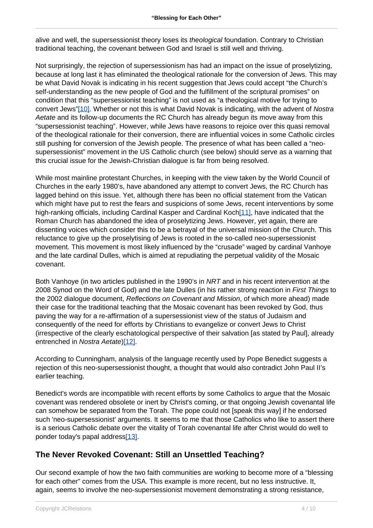alive and well, the supersessionist theory loses its theological foundation. Contrary to Christian traditional teaching, the covenant between God and Israel is still well and thriving.

Not surprisingly, the rejection of supersessionism has had an impact on the issue of proselytizing, because at long last it has eliminated the theological rationale for the conversion of Jews. This may be what David Novak is indicating in his recent suggestion that Jews could accept "the Church's self-understanding as the new people of God and the fulfillment of the scriptural promises" on condition that this "supersessionist teaching" is not used as "a theological motive for trying to convert Jews"[10]. Whether or not this is what David Novak is indicating, with the advent of Nostra Aetate and its follow-up documents the RC Church has already begun its move away from this "supersessionist teaching". However, while Jews have reasons to rejoice over this quasi removal of the theological rationale for their conversion, there are influential voices in some Catholic circles still pushing for conversion of the Jewish people. The presence of what has been called a "neosupersessionist" movement in the US Catholic church (see below) should serve as a warning that this crucial issue for the Jewish-Christian dialogue is far from being resolved.

While most mainline protestant Churches, in keeping with the view taken by the World Council of Churches in the early 1980's, have abandoned any attempt to convert Jews, the RC Church has lagged behind on this issue. Yet, although there has been no official statement from the Vatican which might have put to rest the fears and suspicions of some Jews, recent interventions by some high-ranking officials, including Cardinal Kasper and Cardinal Koch[11], have indicated that the Roman Church has abandoned the idea of proselytizing Jews. However, yet again, there are dissenting voices which consider this to be a betrayal of the universal mission of the Church. This reluctance to give up the proselytising of Jews is rooted in the so-called neo-supersessionist movement. This movement is most likely influenced by the "crusade" waged by cardinal Vanhoye and the late cardinal Dulles, which is aimed at repudiating the perpetual validity of the Mosaic covenant.

Both Vanhoye (in two articles published in the 1990's in NRT and in his recent intervention at the 2008 Synod on the Word of God) and the late Dulles (in his rather strong reaction in First Things to the 2002 dialogue document, Reflections on Covenant and Mission, of which more ahead) made their case for the traditional teaching that the Mosaic covenant has been revoked by God, thus paving the way for a re-affirmation of a supersessionist view of the status of Judaism and consequently of the need for efforts by Christians to evangelize or convert Jews to Christ (irrespective of the clearly eschatological perspective of their salvation [as stated by Paul], already entrenched in Nostra Aetate)[12].

According to Cunningham, analysis of the language recently used by Pope Benedict suggests a rejection of this neo-supersessionist thought, a thought that would also contradict John Paul II's earlier teaching.

Benedict's words are incompatible with recent efforts by some Catholics to argue that the Mosaic covenant was rendered obsolete or inert by Christ's coming, or that ongoing Jewish covenantal life can somehow be separated from the Torah. The pope could not [speak this way] if he endorsed such 'neo-supersessionist' arguments. It seems to me that those Catholics who like to assert there is a serious Catholic debate over the vitality of Torah covenantal life after Christ would do well to ponder today's papal address[13].

#### **The Never Revoked Covenant: Still an Unsettled Teaching?**

Our second example of how the two faith communities are working to become more of a "blessing for each other" comes from the USA. This example is more recent, but no less instructive. It, again, seems to involve the neo-supersessionist movement demonstrating a strong resistance,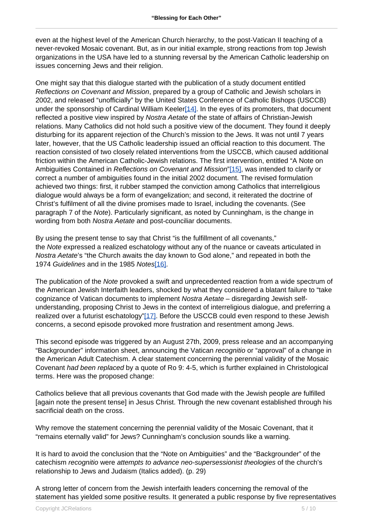even at the highest level of the American Church hierarchy, to the post-Vatican II teaching of a never-revoked Mosaic covenant. But, as in our initial example, strong reactions from top Jewish organizations in the USA have led to a stunning reversal by the American Catholic leadership on issues concerning Jews and their religion.

One might say that this dialogue started with the publication of a study document entitled Reflections on Covenant and Mission, prepared by a group of Catholic and Jewish scholars in 2002, and released "unofficially" by the United States Conference of Catholic Bishops (USCCB) under the sponsorship of Cardinal William Keeler<sup>[14]</sup>. In the eyes of its promoters, that document reflected a positive view inspired by Nostra Aetate of the state of affairs of Christian-Jewish relations. Many Catholics did not hold such a positive view of the document. They found it deeply disturbing for its apparent rejection of the Church's mission to the Jews. It was not until 7 years later, however, that the US Catholic leadership issued an official reaction to this document. The reaction consisted of two closely related interventions from the USCCB, which caused additional friction within the American Catholic-Jewish relations. The first intervention, entitled "A Note on Ambiguities Contained in Reflections on Covenant and Mission"[15], was intended to clarify or correct a number of ambiguities found in the initial 2002 document. The revised formulation achieved two things: first, it rubber stamped the conviction among Catholics that interreligious dialogue would always be a form of evangelization; and second, it reiterated the doctrine of Christ's fulfilment of all the divine promises made to Israel, including the covenants. (See paragraph 7 of the Note). Particularly significant, as noted by Cunningham, is the change in wording from both Nostra Aetate and post-counciliar documents.

By using the present tense to say that Christ "is the fulfillment of all covenants," the Note expressed a realized eschatology without any of the nuance or caveats articulated in Nostra Aetate's "the Church awaits the day known to God alone," and repeated in both the 1974 Guidelines and in the 1985 Notes[16].

The publication of the Note provoked a swift and unprecedented reaction from a wide spectrum of the American Jewish Interfaith leaders, shocked by what they considered a blatant failure to "take cognizance of Vatican documents to implement Nostra Aetate – disregarding Jewish selfunderstanding, proposing Christ to Jews in the context of interreligious dialogue, and preferring a realized over a futurist eschatology"[17]. Before the USCCB could even respond to these Jewish concerns, a second episode provoked more frustration and resentment among Jews.

This second episode was triggered by an August 27th, 2009, press release and an accompanying "Backgrounder" information sheet, announcing the Vatican recognitio or "approval" of a change in the American Adult Catechism. A clear statement concerning the perennial validity of the Mosaic Covenant had been replaced by a quote of Ro 9: 4-5, which is further explained in Christological terms. Here was the proposed change:

Catholics believe that all previous covenants that God made with the Jewish people are fulfilled [again note the present tense] in Jesus Christ. Through the new covenant established through his sacrificial death on the cross.

Why remove the statement concerning the perennial validity of the Mosaic Covenant, that it "remains eternally valid" for Jews? Cunningham's conclusion sounds like a warning.

It is hard to avoid the conclusion that the "Note on Ambiguities" and the "Backgrounder" of the catechism recognitio were attempts to advance neo-supersessionist theologies of the church's relationship to Jews and Judaism (Italics added). (p. 29)

A strong letter of concern from the Jewish interfaith leaders concerning the removal of the statement has yielded some positive results. It generated a public response by five representatives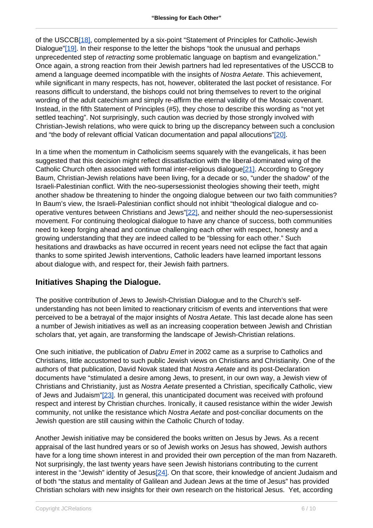of the USCCB[18], complemented by a six-point "Statement of Principles for Catholic-Jewish Dialogue"[19]. In their response to the letter the bishops "took the unusual and perhaps unprecedented step of retracting some problematic language on baptism and evangelization." Once again, a strong reaction from their Jewish partners had led representatives of the USCCB to amend a language deemed incompatible with the insights of Nostra Aetate. This achievement, while significant in many respects, has not, however, obliterated the last pocket of resistance. For reasons difficult to understand, the bishops could not bring themselves to revert to the original wording of the adult catechism and simply re-affirm the eternal validity of the Mosaic covenant. Instead, in the fifth Statement of Principles (#5), they chose to describe this wording as "not yet settled teaching". Not surprisingly, such caution was decried by those strongly involved with Christian-Jewish relations, who were quick to bring up the discrepancy between such a conclusion and "the body of relevant official Vatican documentation and papal allocutions"[20].

In a time when the momentum in Catholicism seems squarely with the evangelicals, it has been suggested that this decision might reflect dissatisfaction with the liberal-dominated wing of the Catholic Church often associated with formal inter-religious dialogue[21]. According to Gregory Baum, Christian-Jewish relations have been living, for a decade or so, "under the shadow" of the Israeli-Palestinian conflict. With the neo-supersessionist theologies showing their teeth, might another shadow be threatening to hinder the ongoing dialogue between our two faith communities? In Baum's view, the Israeli-Palestinian conflict should not inhibit "theological dialogue and cooperative ventures between Christians and Jews"[22], and neither should the neo-supersessionist movement. For continuing theological dialogue to have any chance of success, both communities need to keep forging ahead and continue challenging each other with respect, honesty and a growing understanding that they are indeed called to be "blessing for each other." Such hesitations and drawbacks as have occurred in recent years need not eclipse the fact that again thanks to some spirited Jewish interventions, Catholic leaders have learned important lessons about dialogue with, and respect for, their Jewish faith partners.

#### **Initiatives Shaping the Dialogue.**

The positive contribution of Jews to Jewish-Christian Dialogue and to the Church's selfunderstanding has not been limited to reactionary criticism of events and interventions that were perceived to be a betrayal of the major insights of Nostra Aetate. This last decade alone has seen a number of Jewish initiatives as well as an increasing cooperation between Jewish and Christian scholars that, yet again, are transforming the landscape of Jewish-Christian relations.

One such initiative, the publication of *Dabru Emet* in 2002 came as a surprise to Catholics and Christians, little accustomed to such public Jewish views on Christians and Christianity. One of the authors of that publication, David Novak stated that Nostra Aetate and its post-Declaration documents have "stimulated a desire among Jews, to present, in our own way, a Jewish view of Christians and Christianity, just as Nostra Aetate presented a Christian, specifically Catholic, view of Jews and Judaism"[23]. In general, this unanticipated document was received with profound respect and interest by Christian churches. Ironically, it caused resistance within the wider Jewish community, not unlike the resistance which Nostra Aetate and post-conciliar documents on the Jewish question are still causing within the Catholic Church of today.

Another Jewish initiative may be considered the books written on Jesus by Jews. As a recent appraisal of the last hundred years or so of Jewish works on Jesus has showed, Jewish authors have for a long time shown interest in and provided their own perception of the man from Nazareth. Not surprisingly, the last twenty years have seen Jewish historians contributing to the current interest in the "Jewish" identity of Jesus<sup>[24]</sup>. On that score, their knowledge of ancient Judaism and of both "the status and mentality of Galilean and Judean Jews at the time of Jesus" has provided Christian scholars with new insights for their own research on the historical Jesus. Yet, according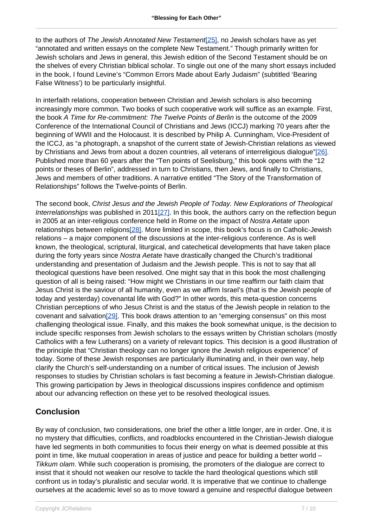to the authors of The Jewish Annotated New Testament [25], no Jewish scholars have as yet "annotated and written essays on the complete New Testament." Though primarily written for Jewish scholars and Jews in general, this Jewish edition of the Second Testament should be on the shelves of every Christian biblical scholar. To single out one of the many short essays included in the book, I found Levine's "Common Errors Made about Early Judaism" (subtitled 'Bearing False Witness') to be particularly insightful.

In interfaith relations, cooperation between Christian and Jewish scholars is also becoming increasingly more common. Two books of such cooperative work will suffice as an example. First, the book A Time for Re-commitment: The Twelve Points of Berlin is the outcome of the 2009 Conference of the International Council of Christians and Jews (ICCJ) marking 70 years after the beginning of WWII and the Holocaust. It is described by Philip A. Cunningham, Vice-President of the ICCJ, as "a photograph, a snapshot of the current state of Jewish-Christian relations as viewed by Christians and Jews from about a dozen countries, all veterans of interreligious dialogue"[26]. Published more than 60 years after the "Ten points of Seelisburg," this book opens with the "12 points or theses of Berlin", addressed in turn to Christians, then Jews, and finally to Christians, Jews and members of other traditions. A narrative entitled "The Story of the Transformation of Relationships" follows the Twelve-points of Berlin.

The second book, Christ Jesus and the Jewish People of Today. New Explorations of Theological Interrelationships was published in 2011[27]. In this book, the authors carry on the reflection begun in 2005 at an inter-religious conference held in Rome on the impact of Nostra Aetate upon relationships between religions[28]. More limited in scope, this book's focus is on Catholic-Jewish relations – a major component of the discussions at the inter-religious conference. As is well known, the theological, scriptural, liturgical, and catechetical developments that have taken place during the forty years since Nostra Aetate have drastically changed the Church's traditional understanding and presentation of Judaism and the Jewish people. This is not to say that all theological questions have been resolved. One might say that in this book the most challenging question of all is being raised: "How might we Christians in our time reaffirm our faith claim that Jesus Christ is the saviour of all humanity, even as we affirm Israel's (that is the Jewish people of today and yesterday) covenantal life with God?" In other words, this meta-question concerns Christian perceptions of who Jesus Christ is and the status of the Jewish people in relation to the covenant and salvation[29]. This book draws attention to an "emerging consensus" on this most challenging theological issue. Finally, and this makes the book somewhat unique, is the decision to include specific responses from Jewish scholars to the essays written by Christian scholars (mostly Catholics with a few Lutherans) on a variety of relevant topics. This decision is a good illustration of the principle that "Christian theology can no longer ignore the Jewish religious experience" of today. Some of these Jewish responses are particularly illuminating and, in their own way, help clarify the Church's self-understanding on a number of critical issues. The inclusion of Jewish responses to studies by Christian scholars is fast becoming a feature in Jewish-Christian dialogue. This growing participation by Jews in theological discussions inspires confidence and optimism about our advancing reflection on these yet to be resolved theological issues.

### **Conclusion**

By way of conclusion, two considerations, one brief the other a little longer, are in order. One, it is no mystery that difficulties, conflicts, and roadblocks encountered in the Christian-Jewish dialogue have led segments in both communities to focus their energy on what is deemed possible at this point in time, like mutual cooperation in areas of justice and peace for building a better world – Tikkum olam. While such cooperation is promising, the promoters of the dialogue are correct to insist that it should not weaken our resolve to tackle the hard theological questions which still confront us in today's pluralistic and secular world. It is imperative that we continue to challenge ourselves at the academic level so as to move toward a genuine and respectful dialogue between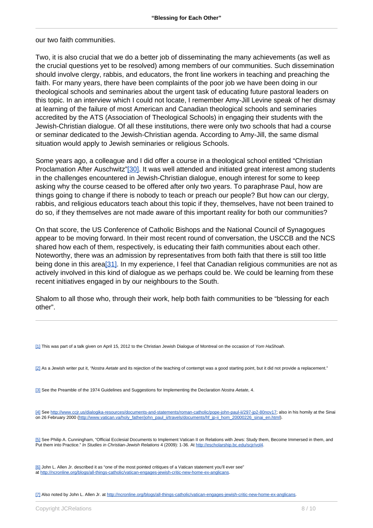our two faith communities.

Two, it is also crucial that we do a better job of disseminating the many achievements (as well as the crucial questions yet to be resolved) among members of our communities. Such dissemination should involve clergy, rabbis, and educators, the front line workers in teaching and preaching the faith. For many years, there have been complaints of the poor job we have been doing in our theological schools and seminaries about the urgent task of educating future pastoral leaders on this topic. In an interview which I could not locate, I remember Amy-Jill Levine speak of her dismay at learning of the failure of most American and Canadian theological schools and seminaries accredited by the ATS (Association of Theological Schools) in engaging their students with the Jewish-Christian dialogue. Of all these institutions, there were only two schools that had a course or seminar dedicated to the Jewish-Christian agenda. According to Amy-Jill, the same dismal situation would apply to Jewish seminaries or religious Schools.

Some years ago, a colleague and I did offer a course in a theological school entitled "Christian Proclamation After Auschwitz"[30]. It was well attended and initiated great interest among students in the challenges encountered in Jewish-Christian dialogue, enough interest for some to keep asking why the course ceased to be offered after only two years. To paraphrase Paul, how are things going to change if there is nobody to teach or preach our people? But how can our clergy, rabbis, and religious educators teach about this topic if they, themselves, have not been trained to do so, if they themselves are not made aware of this important reality for both our communities?

On that score, the US Conference of Catholic Bishops and the National Council of Synagogues appear to be moving forward. In their most recent round of conversation, the USCCB and the NCS shared how each of them, respectively, is educating their faith communities about each other. Noteworthy, there was an admission by representatives from both faith that there is still too little being done in this area[31]. In my experience, I feel that Canadian religious communities are not as actively involved in this kind of dialogue as we perhaps could be. We could be learning from these recent initiatives engaged in by our neighbours to the South.

Shalom to all those who, through their work, help both faith communities to be "blessing for each other".

[1] This was part of a talk given on April 15, 2012 to the Christian Jewish Dialogue of Montreal on the occasion of Yom HaShoah.

[2] As a Jewish writer put it, "Nostra Aetate and its rejection of the teaching of contempt was a good starting point, but it did not provide a replacement."

[3] See the Preamble of the 1974 Guidelines and Suggestions for Implementing the Declaration Nostra Aetate, 4.

[4] See <http://www.ccjr.us/dialogika-resources/documents-and-statements/roman-catholic/pope-john-paul-ii/297-jp2-80nov17>; also in his homily at the Sinai on 26 February 2000 (http://www.vatican.va/holy\_father/john\_paul\_ii/travels/documents/hf\_ip-ii\_hom\_20000226\_sinai\_en.html).

[5] See Philip A. Cunningham, "Official Ecclesial Documents to Implement Vatican II on Relations with Jews: Study them, Become Immersed in them, and Put them into Practice." In Studies in Christian-Jewish Relations 4 (2009): 1-36. At <http://escholarship.bc.edu/scjr/vol4>.

[6] John L. Allen Jr. described it as "one of the most pointed critiques of a Vatican statement you'll ever see" at [http://ncronline.org/blogs/all-things-catholic/vatican-engages-jewish-critic-new-home-ex-anglicans.](http://ncronline.org/blogs/all-things-catholic/vatican-engages-jewish-critic-new-home-ex-anglicans")

[7] Also noted by John L. Allen Jr. at [http://ncronline.org/blogs/all-things-catholic/vatican-engages-jewish-critic-new-home-ex-anglicans.](http://ncronline.org/blogs/all-things-catholic/vatican-engages-jewish-critic-new-home-ex-anglicans)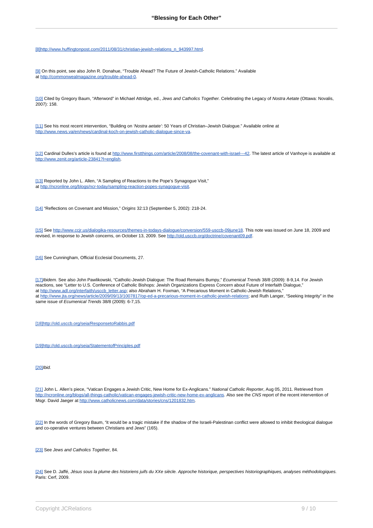[8][http://www.huffingtonpost.com/2011/08/31/christian-jewish-relations\\_n\\_943997.html.](http://www.huffingtonpost.com/2011/08/31/christian-jewish-relations_n_943997.html")

[9] On this point, see also John R. Donahue, "Trouble Ahead? The Future of Jewish-Catholic Relations." Available at [http://commonwealmagazine.org/trouble-ahead-0.](http://commonwealmagazine.org/trouble-ahead-0)

[10] Cited by Gregory Baum, "Afterword" in Michael Attridge, ed., Jews and Catholics Together. Celebrating the Legacy of Nostra Aetate (Ottawa: Novalis, 2007): 158.

[11] See his most recent intervention, "Building on 'Nostra aetate': 50 Years of Christian–Jewish Dialogue." Available online at [http://www.news.va/en/news/cardinal-koch-on-jewish-catholic-dialogue-since-va.](http://www.news.va/en/news/cardinal-koch-on-jewish-catholic-dialogue-since-va)

[12] Cardinal Dulles's article is found at <http://www.firstthings.com/article/2008/08/the-covenant-with-israel---42>. The latest article of Vanhoye is available at <http://www.zenit.org/article-23841?l=english>.

[13] Reported by John L. Allen, "A Sampling of Reactions to the Pope's Synagogue Visit," at [http://ncronline.org/blogs/ncr-today/sampling-reaction-popes-synagogue-visit.](http://ncronline.org/blogs/ncr-today/sampling-reaction-popes-synagogue-visit)

[14] "Reflections on Covenant and Mission," Origins 32:13 (September 5, 2002): 218-24.

[15] See [http://www.ccjr.us/dialogika-resources/themes-in-todays-dialogue/conversion/559-usccb-09june18.](http://www.ccjr.us/dialogika-resources/themes-in-todays-dialogue/conversion/559-usccb-09june18) This note was issued on June 18, 2009 and revised, in response to Jewish concerns, on October 13, 2009. See [http://old.usccb.org/doctrine/covenant09.pdf.](http://old.usccb.org/doctrine/covenant09.pdf)

[16] See Cunningham, Official Ecclesial Documents, 27.

[17] Ibidem. See also John Pawlikowski, "Catholic-Jewish Dialogue: The Road Remains Bumpy," Ecumenical Trends 38/8 (2009): 8-9,14. For Jewish reactions, see "Letter to U.S. Conference of Catholic Bishops: Jewish Organizations Express Concern about Future of Interfaith Dialogue," at [http://www.adl.org/interfaith/usccb\\_letter.asp](http://www.adl.org/interfaith/usccb_letter.asp); also Abraham H. Foxman, "A Precarious Moment in Catholic-Jewish Relations," at [http://www.jta.org/news/article/2009/09/13/1007817/op-ed-a-precarious-moment-in-catholic-jewish-relations;](http://www.jta.org/news/article/2009/09/13/1007817/op-ed-a-precarious-moment-in-catholic-jewish-relations) and Ruth Langer, "Seeking Integrity" in the same issue of Ecumenical Trends 38/8 (2009): 6-7,15.

[18]<http://old.usccb.org/seia/ResponsetoRabbis.pdf>

[19]<http://old.usccb.org/seia/StatementofPrinciples.pdf>

[20]<sub>Ibid.</sub>

[21] John L. Allen's piece, "Vatican Engages a Jewish Critic, New Home for Ex-Anglicans." National Catholic Reporter, Aug 05, 2011. Retrieved from [http://ncronline.org/blogs/all-things-catholic/vatican-engages-jewish-critic-new-home-ex-anglicans.](http://ncronline.org/blogs/all-things-catholic/vatican-engages-jewish-critic-new-home-ex-anglicans) Also see the CNS report of the recent intervention of Msgr. David Jaeger at [http://www.catholicnews.com/data/stories/cns/1201832.htm.](http://www.catholicnews.com/data/stories/cns/1201832.htm)

[22] In the words of Gregory Baum, "it would be a tragic mistake if the shadow of the Israeli-Palestinan conflict were allowed to inhibit theological dialogue and co-operative ventures between Christians and Jews" (165).

[23] See Jews and Catholics Together, 84.

[24] See D. Jaffé, Jésus sous la plume des historiens juifs du XXe siècle. Approche historique, perspectives historiographiques, analyses méthodologiques. Paris: Cerf. 2009.